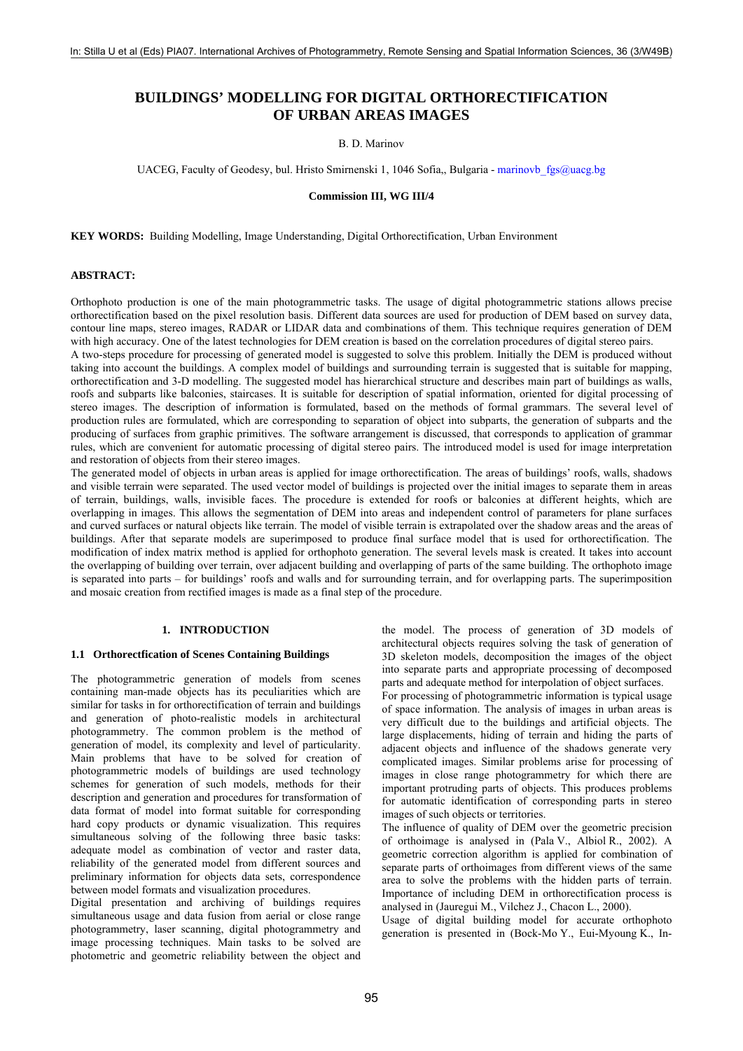# **BUILDINGS' MODELLING FOR DIGITAL ORTHORECTIFICATION OF URBAN AREAS IMAGES**

### B. D. Marinov

UACEG, Faculty of Geodesy, bul. Hristo Smirnenski 1, 1046 Sofia,, Bulgaria - marinovb fgs@uacg.bg

#### **Commission III, WG III/4**

**KEY WORDS:** Building Modelling, Image Understanding, Digital Orthorectification, Urban Environment

#### **ABSTRACT:**

Orthophoto production is one of the main photogrammetric tasks. The usage of digital photogrammetric stations allows precise orthorectification based on the pixel resolution basis. Different data sources are used for production of DEM based on survey data, contour line maps, stereo images, RADAR or LIDAR data and combinations of them. This technique requires generation of DEM with high accuracy. One of the latest technologies for DEM creation is based on the correlation procedures of digital stereo pairs. A two-steps procedure for processing of generated model is suggested to solve this problem. Initially the DEM is produced without taking into account the buildings. A complex model of buildings and surrounding terrain is suggested that is suitable for mapping,

orthorectification and 3-D modelling. The suggested model has hierarchical structure and describes main part of buildings as walls, roofs and subparts like balconies, staircases. It is suitable for description of spatial information, oriented for digital processing of stereo images. The description of information is formulated, based on the methods of formal grammars. The several level of production rules are formulated, which are corresponding to separation of object into subparts, the generation of subparts and the producing of surfaces from graphic primitives. The software arrangement is discussed, that corresponds to application of grammar rules, which are convenient for automatic processing of digital stereo pairs. The introduced model is used for image interpretation and restoration of objects from their stereo images.

The generated model of objects in urban areas is applied for image orthorectification. The areas of buildings' roofs, walls, shadows and visible terrain were separated. The used vector model of buildings is projected over the initial images to separate them in areas of terrain, buildings, walls, invisible faces. The procedure is extended for roofs or balconies at different heights, which are overlapping in images. This allows the segmentation of DEM into areas and independent control of parameters for plane surfaces and curved surfaces or natural objects like terrain. The model of visible terrain is extrapolated over the shadow areas and the areas of buildings. After that separate models are superimposed to produce final surface model that is used for orthorectification. The modification of index matrix method is applied for orthophoto generation. The several levels mask is created. It takes into account the overlapping of building over terrain, over adjacent building and overlapping of parts of the same building. The orthophoto image is separated into parts – for buildings' roofs and walls and for surrounding terrain, and for overlapping parts. The superimposition and mosaic creation from rectified images is made as a final step of the procedure.

### **1. INTRODUCTION**

#### **1.1 Orthorectfication of Scenes Containing Buildings**

The photogrammetric generation of models from scenes containing man-made objects has its peculiarities which are similar for tasks in for orthorectification of terrain and buildings and generation of photo-realistic models in architectural photogrammetry. The common problem is the method of generation of model, its complexity and level of particularity. Main problems that have to be solved for creation of photogrammetric models of buildings are used technology schemes for generation of such models, methods for their description and generation and procedures for transformation of data format of model into format suitable for corresponding hard copy products or dynamic visualization. This requires simultaneous solving of the following three basic tasks: adequate model as combination of vector and raster data, reliability of the generated model from different sources and preliminary information for objects data sets, correspondence between model formats and visualization procedures.

Digital presentation and archiving of buildings requires simultaneous usage and data fusion from aerial or close range photogrammetry, laser scanning, digital photogrammetry and image processing techniques. Main tasks to be solved are photometric and geometric reliability between the object and the model. The process of generation of 3D models of architectural objects requires solving the task of generation of 3D skeleton models, decomposition the images of the object into separate parts and appropriate processing of decomposed parts and adequate method for interpolation of object surfaces.

For processing of photogrammetric information is typical usage of space information. The analysis of images in urban areas is very difficult due to the buildings and artificial objects. The large displacements, hiding of terrain and hiding the parts of adjacent objects and influence of the shadows generate very complicated images. Similar problems arise for processing of images in close range photogrammetry for which there are important protruding parts of objects. This produces problems for automatic identification of corresponding parts in stereo images of such objects or territories.

The influence of quality of DEM over the geometric precision of orthoimage is analysed in (Pala V., Albiol R., 2002). A geometric correction algorithm is applied for combination of separate parts of orthoimages from different views of the same area to solve the problems with the hidden parts of terrain. Importance of including DEM in orthorectification process is analysed in (Jauregui M., Vilchez J., Chacon L., 2000).

Usage of digital building model for accurate orthophoto generation is presented in (Bock-Mo Y., Eui-Myoung K., In-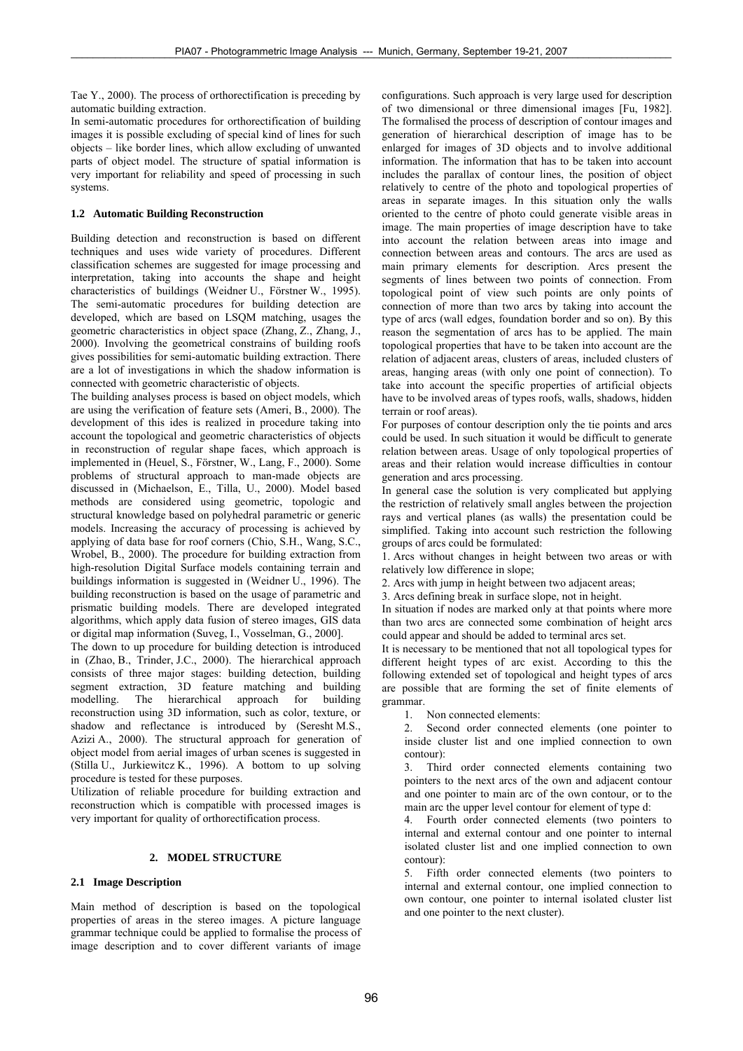Tae Y., 2000). The process of orthorectification is preceding by automatic building extraction.

In semi-automatic procedures for orthorectification of building images it is possible excluding of special kind of lines for such objects – like border lines, which allow excluding of unwanted parts of object model. The structure of spatial information is very important for reliability and speed of processing in such systems.

# **1.2 Automatic Building Reconstruction**

Building detection and reconstruction is based on different techniques and uses wide variety of procedures. Different classification schemes are suggested for image processing and interpretation, taking into accounts the shape and height characteristics of buildings (Weidner U., Förstner W., 1995). The semi-automatic procedures for building detection are developed, which are based on LSQM matching, usages the geometric characteristics in object space (Zhang, Z., Zhang, J., 2000). Involving the geometrical constrains of building roofs gives possibilities for semi-automatic building extraction. There are a lot of investigations in which the shadow information is connected with geometric characteristic of objects.

The building analyses process is based on object models, which are using the verification of feature sets (Ameri, B., 2000). The development of this ides is realized in procedure taking into account the topological and geometric characteristics of objects in reconstruction of regular shape faces, which approach is implemented in (Heuel, S., Förstner, W., Lang, F., 2000). Some problems of structural approach to man-made objects are discussed in (Michaelson, E., Tilla, U., 2000). Model based methods are considered using geometric, topologic and structural knowledge based on polyhedral parametric or generic models. Increasing the accuracy of processing is achieved by applying of data base for roof corners (Chio, S.H., Wang, S.C., Wrobel, B., 2000). The procedure for building extraction from high-resolution Digital Surface models containing terrain and buildings information is suggested in (Weidner U., 1996). The building reconstruction is based on the usage of parametric and prismatic building models. There are developed integrated algorithms, which apply data fusion of stereo images, GIS data or digital map information (Suveg, I., Vosselman, G., 2000].

The down to up procedure for building detection is introduced in (Zhao, B., Trinder, J.C., 2000). The hierarchical approach consists of three major stages: building detection, building segment extraction, 3D feature matching and building modelling. The hierarchical approach for building reconstruction using 3D information, such as color, texture, or shadow and reflectance is introduced by (Seresht M.S., Azizi A., 2000). The structural approach for generation of object model from aerial images of urban scenes is suggested in (Stilla U., Jurkiewitcz K., 1996). A bottom to up solving procedure is tested for these purposes.

Utilization of reliable procedure for building extraction and reconstruction which is compatible with processed images is very important for quality of orthorectification process.

# **2. MODEL STRUCTURE**

# **2.1 Image Description**

Main method of description is based on the topological properties of areas in the stereo images. A picture language grammar technique could be applied to formalise the process of image description and to cover different variants of image

configurations. Such approach is very large used for description of two dimensional or three dimensional images [Fu, 1982]. The formalised the process of description of contour images and generation of hierarchical description of image has to be enlarged for images of 3D objects and to involve additional information. The information that has to be taken into account includes the parallax of contour lines, the position of object relatively to centre of the photo and topological properties of areas in separate images. In this situation only the walls oriented to the centre of photo could generate visible areas in image. The main properties of image description have to take into account the relation between areas into image and connection between areas and contours. The arcs are used as main primary elements for description. Arcs present the segments of lines between two points of connection. From topological point of view such points are only points of connection of more than two arcs by taking into account the type of arcs (wall edges, foundation border and so on). By this reason the segmentation of arcs has to be applied. The main topological properties that have to be taken into account are the relation of adjacent areas, clusters of areas, included clusters of areas, hanging areas (with only one point of connection). To take into account the specific properties of artificial objects have to be involved areas of types roofs, walls, shadows, hidden terrain or roof areas).

For purposes of contour description only the tie points and arcs could be used. In such situation it would be difficult to generate relation between areas. Usage of only topological properties of areas and their relation would increase difficulties in contour generation and arcs processing.

In general case the solution is very complicated but applying the restriction of relatively small angles between the projection rays and vertical planes (as walls) the presentation could be simplified. Taking into account such restriction the following groups of arcs could be formulated:

1. Arcs without changes in height between two areas or with relatively low difference in slope;

2. Arcs with jump in height between two adjacent areas;

3. Arcs defining break in surface slope, not in height.

In situation if nodes are marked only at that points where more than two arcs are connected some combination of height arcs could appear and should be added to terminal arcs set.

It is necessary to be mentioned that not all topological types for different height types of arc exist. According to this the following extended set of topological and height types of arcs are possible that are forming the set of finite elements of grammar.

1. Non connected elements:

2. Second order connected elements (one pointer to inside cluster list and one implied connection to own contour):

3. Third order connected elements containing two pointers to the next arcs of the own and adjacent contour and one pointer to main arc of the own contour, or to the main arc the upper level contour for element of type d:

4. Fourth order connected elements (two pointers to internal and external contour and one pointer to internal isolated cluster list and one implied connection to own contour):

5. Fifth order connected elements (two pointers to internal and external contour, one implied connection to own contour, one pointer to internal isolated cluster list and one pointer to the next cluster).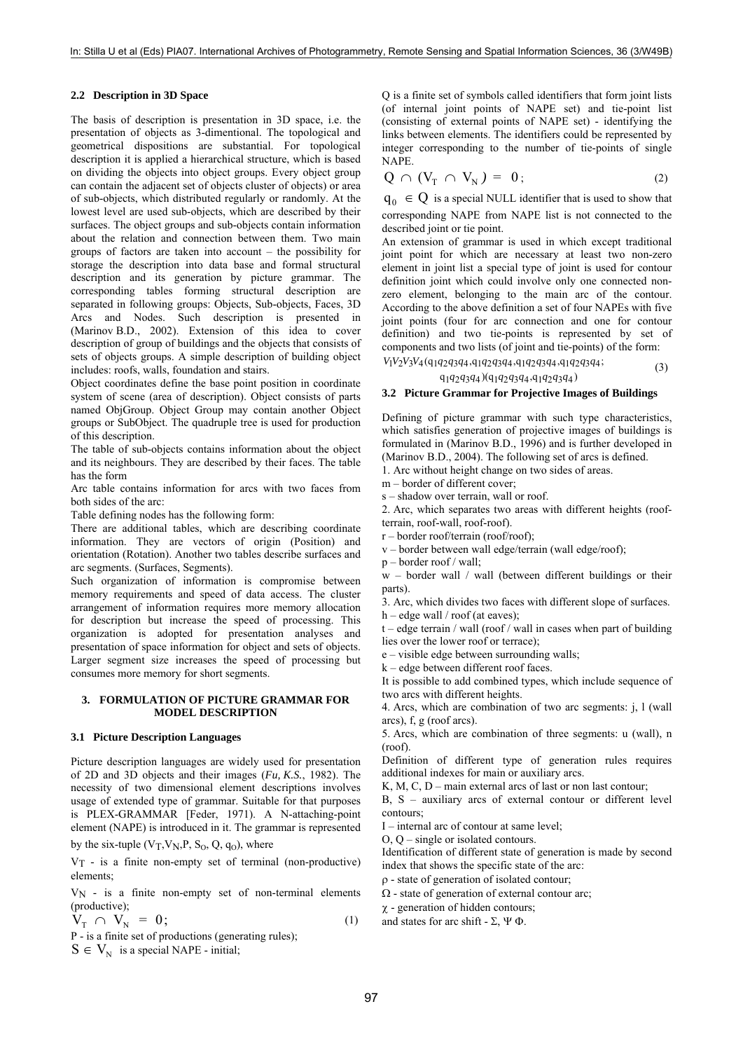### **2.2 Description in 3D Space**

The basis of description is presentation in 3D space, i.e. the presentation of objects as 3-dimentional. The topological and geometrical dispositions are substantial. For topological description it is applied a hierarchical structure, which is based on dividing the objects into object groups. Every object group can contain the adjacent set of objects cluster of objects) or area of sub-objects, which distributed regularly or randomly. At the lowest level are used sub-objects, which are described by their surfaces. The object groups and sub-objects contain information about the relation and connection between them. Two main groups of factors are taken into account – the possibility for storage the description into data base and formal structural description and its generation by picture grammar. The corresponding tables forming structural description are separated in following groups: Objects, Sub-objects, Faces, 3D Arcs and Nodes. Such description is presented in (Marinov B.D., 2002). Extension of this idea to cover description of group of buildings and the objects that consists of sets of objects groups. A simple description of building object includes: roofs, walls, foundation and stairs.

Object coordinates define the base point position in coordinate system of scene (area of description). Object consists of parts named ObjGroup. Object Group may contain another Object groups or SubObject. The quadruple tree is used for production of this description.

The table of sub-objects contains information about the object and its neighbours. They are described by their faces. The table has the form

Arc table contains information for arcs with two faces from both sides of the arc:

Table defining nodes has the following form:

There are additional tables, which are describing coordinate information. They are vectors of origin (Position) and orientation (Rotation). Another two tables describe surfaces and arc segments. (Surfaces, Segments).

Such organization of information is compromise between memory requirements and speed of data access. The cluster arrangement of information requires more memory allocation for description but increase the speed of processing. This organization is adopted for presentation analyses and presentation of space information for object and sets of objects. Larger segment size increases the speed of processing but consumes more memory for short segments.

#### **3. FORMULATION OF PICTURE GRAMMAR FOR MODEL DESCRIPTION**

### **3.1 Picture Description Languages**

Picture description languages are widely used for presentation of 2D and 3D objects and their images (*Fu, K.S.*, 1982). The necessity of two dimensional element descriptions involves usage of extended type of grammar. Suitable for that purposes is PLEX-GRAMMAR [Feder, 1971). A N-attaching-point element (NAPE) is introduced in it. The grammar is represented

by the six-tuple  $(V_T, V_N, P, S_0, Q, q_0)$ , where

 $V_T$  - is a finite non-empty set of terminal (non-productive) elements;

 $V_N$  - is a finite non-empty set of non-terminal elements (productive);

$$
\mathbf{V}_{\mathbf{T}} \cap \mathbf{V}_{\mathbf{N}} = \mathbf{0};\tag{1}
$$

P - is a finite set of productions (generating rules);

 $S \in V_{N}$  is a special NAPE - initial;

Q is a finite set of symbols called identifiers that form joint lists (of internal joint points of NAPE set) and tie-point list (consisting of external points of NAPE set) - identifying the links between elements. The identifiers could be represented by integer corresponding to the number of tie-points of single NAPE.

$$
Q \cap (V_T \cap V_N) = 0;
$$
 (2)

 $q_0 \in Q$  is a special NULL identifier that is used to show that corresponding NAPE from NAPE list is not connected to the described joint or tie point.

An extension of grammar is used in which except traditional joint point for which are necessary at least two non-zero element in joint list a special type of joint is used for contour definition joint which could involve only one connected nonzero element, belonging to the main arc of the contour. According to the above definition a set of four NAPEs with five joint points (four for arc connection and one for contour definition) and two tie-points is represented by set of components and two lists (of joint and tie-points) of the form:

 $V_1V_2V_3V_4$ (q1q2q3q4,q1q2q3q4,q1q2q3q4,q1q2q3q4)  $q_1q_2q_3q_4$  $(q_1q_2q_3q_4, q_1q_2q_3q_4)$ (3)

### **3.2 Picture Grammar for Projective Images of Buildings**

Defining of picture grammar with such type characteristics, which satisfies generation of projective images of buildings is formulated in (Marinov B.D., 1996) and is further developed in (Marinov B.D., 2004). The following set of arcs is defined. 1. Arc without height change on two sides of areas.

m – border of different cover;

s – shadow over terrain, wall or roof.

2. Arc, which separates two areas with different heights (roofterrain, roof-wall, roof-roof).

r – border roof/terrain (roof/roof);

v – border between wall edge/terrain (wall edge/roof);

p – border roof / wall;

w – border wall / wall (between different buildings or their parts).

3. Arc, which divides two faces with different slope of surfaces.  $h -$  edge wall / roof (at eaves);

 $t - edge$  terrain / wall (roof / wall in cases when part of building lies over the lower roof or terrace);

e – visible edge between surrounding walls;

k – edge between different roof faces.

It is possible to add combined types, which include sequence of two arcs with different heights.

4. Arcs, which are combination of two arc segments: j, l (wall arcs), f, g (roof arcs).

5. Arcs, which are combination of three segments: u (wall), n (roof).

Definition of different type of generation rules requires additional indexes for main or auxiliary arcs.

K, M, C,  $D$  – main external arcs of last or non last contour;

B, S – auxiliary arcs of external contour or different level contours;

I – internal arc of contour at same level;

O, Q – single or isolated contours.

Identification of different state of generation is made by second index that shows the specific state of the arc:

ρ - state of generation of isolated contour;

 $\Omega$  - state of generation of external contour arc;

χ - generation of hidden contours;

and states for arc shift -  $\Sigma$ ,  $\Psi \Phi$ .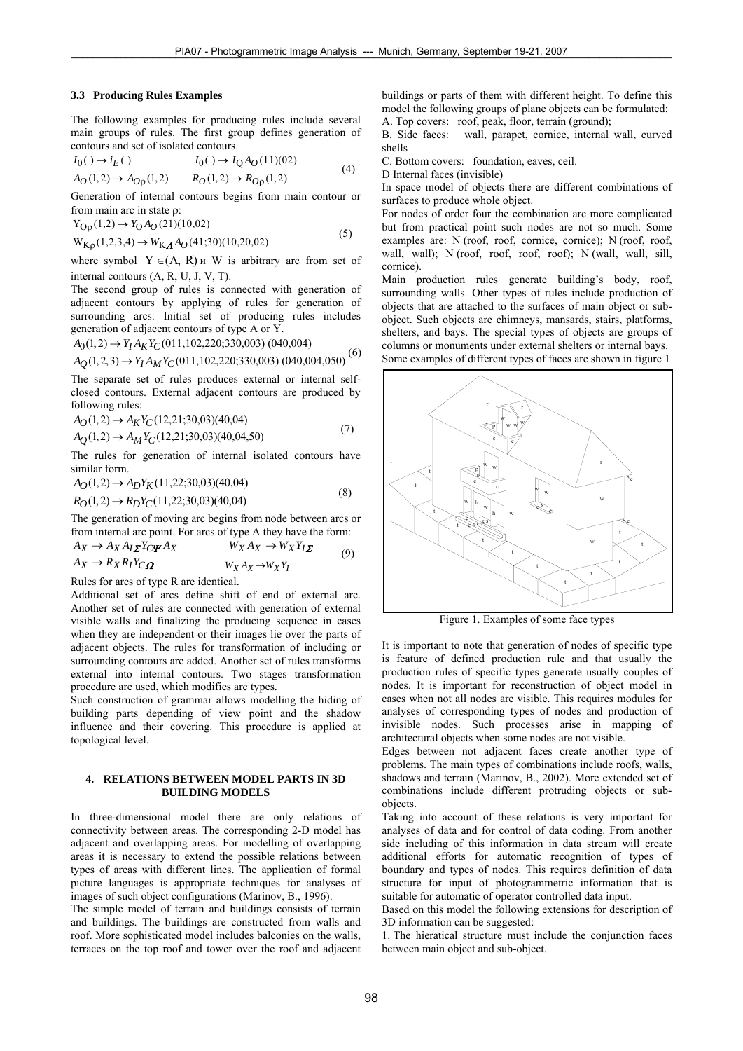$(6)$ 

#### **3.3 Producing Rules Examples**

The following examples for producing rules include several main groups of rules. The first group defines generation of contours and set of isolated contours.

$$
I_0( ) \to i_E( ) \qquad I_0( ) \to I_Q A_O(11)(02)
$$
  
\n
$$
A_O(1,2) \to A_{Op}(1,2) \qquad R_O(1,2) \to R_{Op}(1,2)
$$
 (4)

Generation of internal contours begins from main contour or from main arc in state ρ:

$$
Y_{\text{Op}}(1,2) \to Y_{\text{O}}A_{\text{O}}(21)(10,02)
$$
\n
$$
Y_{\text{Op}}(1,2) \to Y_{\text{O}}A_{\text{O}}(21)(10,02) \tag{5}
$$

$$
W_{K\rho}(1,2,3,4) \rightarrow W_{K\Lambda}A_O(41,30)(10,20,02)
$$

where symbol  $Y \in (A, R)$  *u* W is arbitrary arc from set of internal contours (A, R, U, J, V, T).

The second group of rules is connected with generation of adjacent contours by applying of rules for generation of surrounding arcs. Initial set of producing rules includes generation of adjacent contours of type A or Y.

$$
A_0(1,2) \rightarrow Y_I A_K Y_C(011,102,220;330,003) (040,004)
$$

$$
A_{Q}(1,2,3) \rightarrow Y_{I}A_{M}Y_{C}(011,102,220;330,003) (040,004,050)^{0}
$$

The separate set of rules produces external or internal selfclosed contours. External adjacent contours are produced by following rules:

$$
A_O(1,2) \to A_K Y_C(12,21;30,03)(40,04)
$$
\n
$$
(7)
$$

$$
A_Q(1,2) \to A_M Y_C(12,21;30,03)(40,04,50)
$$

The rules for generation of internal isolated contours have similar form.

$$
A_O(1,2) \to A_D Y_K(11,22;30,03)(40,04)
$$
  
\n
$$
R_O(1,2) \to R_D Y_C(11,22;30,03)(40,04)
$$
\n(8)

The generation of moving arc begins from node between arcs or from internal arc point. For arcs of type A they have the form:

$$
A_X \to A_X A_I \Sigma^Y C \Psi^A X \qquad W_X A_X \to W_X Y_I \Sigma
$$
  
\n
$$
A_X \to R_X R_I Y_C \Omega \qquad W_X A_X \to W_X Y_I
$$
 (9)

 $W_X A_X \rightarrow W_X Y_I$ 

Rules for arcs of type R are identical.

Additional set of arcs define shift of end of external arc. Another set of rules are connected with generation of external visible walls and finalizing the producing sequence in cases when they are independent or their images lie over the parts of adjacent objects. The rules for transformation of including or surrounding contours are added. Another set of rules transforms external into internal contours. Two stages transformation procedure are used, which modifies arc types.

Such construction of grammar allows modelling the hiding of building parts depending of view point and the shadow influence and their covering. This procedure is applied at topological level.

### **4. RELATIONS BETWEEN MODEL PARTS IN 3D BUILDING MODELS**

In three-dimensional model there are only relations of connectivity between areas. The corresponding 2-D model has adjacent and overlapping areas. For modelling of overlapping areas it is necessary to extend the possible relations between types of areas with different lines. The application of formal picture languages is appropriate techniques for analyses of images of such object configurations (Marinov, B., 1996).

The simple model of terrain and buildings consists of terrain and buildings. The buildings are constructed from walls and roof. More sophisticated model includes balconies on the walls, terraces on the top roof and tower over the roof and adjacent buildings or parts of them with different height. To define this model the following groups of plane objects can be formulated: A. Top covers: roof, peak, floor, terrain (ground);

B. Side faces: wall, parapet, cornice, internal wall, curved shells

C. Bottom covers: foundation, eaves, ceil.

D Internal faces (invisible)

In space model of objects there are different combinations of surfaces to produce whole object.

For nodes of order four the combination are more complicated but from practical point such nodes are not so much. Some examples are: N (roof, roof, cornice, cornice); N (roof, roof, wall, wall); N (roof, roof, roof, roof); N (wall, wall, sill, cornice).

Main production rules generate building's body, roof, surrounding walls. Other types of rules include production of objects that are attached to the surfaces of main object or subobject. Such objects are chimneys, mansards, stairs, platforms, shelters, and bays. The special types of objects are groups of columns or monuments under external shelters or internal bays. Some examples of different types of faces are shown in figure 1



Figure 1. Examples of some face types

It is important to note that generation of nodes of specific type is feature of defined production rule and that usually the production rules of specific types generate usually couples of nodes. It is important for reconstruction of object model in cases when not all nodes are visible. This requires modules for analyses of corresponding types of nodes and production of invisible nodes. Such processes arise in mapping of architectural objects when some nodes are not visible.

Edges between not adjacent faces create another type of problems. The main types of combinations include roofs, walls, shadows and terrain (Marinov, B., 2002). More extended set of combinations include different protruding objects or subobjects.

Taking into account of these relations is very important for analyses of data and for control of data coding. From another side including of this information in data stream will create additional efforts for automatic recognition of types of boundary and types of nodes. This requires definition of data structure for input of photogrammetric information that is suitable for automatic of operator controlled data input.

Based on this model the following extensions for description of 3D information can be suggested:

1. The hieratical structure must include the conjunction faces between main object and sub-object.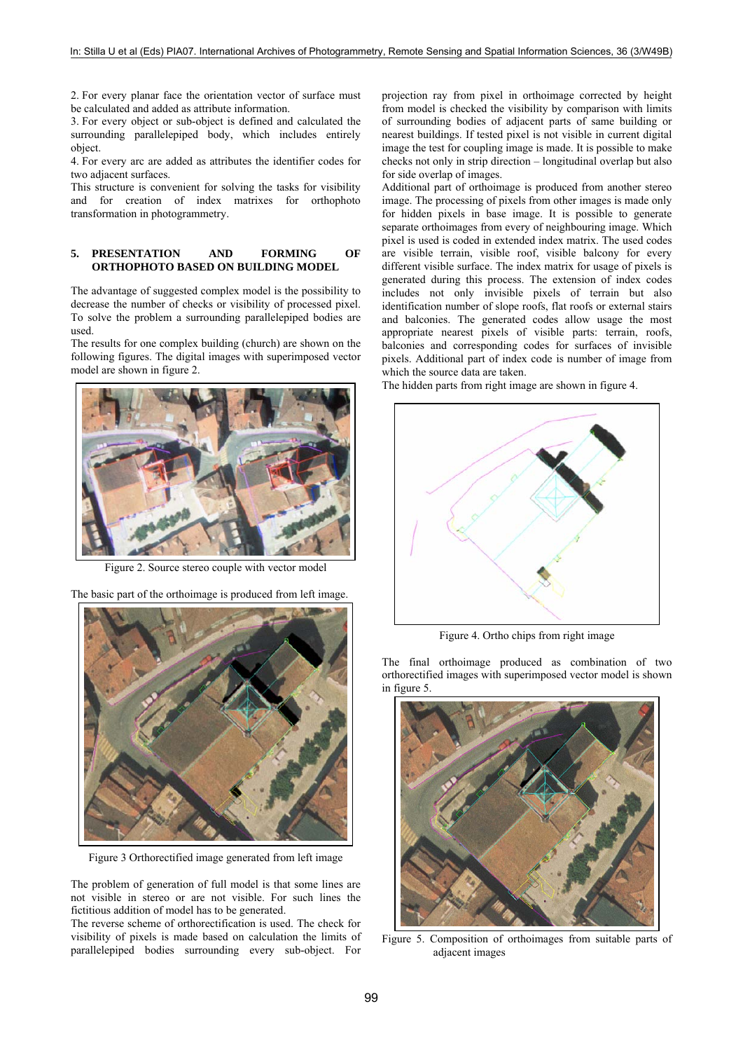2. For every planar face the orientation vector of surface must be calculated and added as attribute information.

3. For every object or sub-object is defined and calculated the surrounding parallelepiped body, which includes entirely object.

4. For every arc are added as attributes the identifier codes for two adjacent surfaces.

This structure is convenient for solving the tasks for visibility and for creation of index matrixes for orthophoto transformation in photogrammetry.

# **5. PRESENTATION AND FORMING OF ORTHOPHOTO BASED ON BUILDING MODEL**

The advantage of suggested complex model is the possibility to decrease the number of checks or visibility of processed pixel. To solve the problem a surrounding parallelepiped bodies are used.

The results for one complex building (church) are shown on the following figures. The digital images with superimposed vector model are shown in figure 2.



Figure 2. Source stereo couple with vector model

The basic part of the orthoimage is produced from left image.



Figure 3 Orthorectified image generated from left image

The problem of generation of full model is that some lines are not visible in stereo or are not visible. For such lines the fictitious addition of model has to be generated.

The reverse scheme of orthorectification is used. The check for visibility of pixels is made based on calculation the limits of parallelepiped bodies surrounding every sub-object. For

projection ray from pixel in orthoimage corrected by height from model is checked the visibility by comparison with limits of surrounding bodies of adjacent parts of same building or nearest buildings. If tested pixel is not visible in current digital image the test for coupling image is made. It is possible to make checks not only in strip direction – longitudinal overlap but also for side overlap of images.

Additional part of orthoimage is produced from another stereo image. The processing of pixels from other images is made only for hidden pixels in base image. It is possible to generate separate orthoimages from every of neighbouring image. Which pixel is used is coded in extended index matrix. The used codes are visible terrain, visible roof, visible balcony for every different visible surface. The index matrix for usage of pixels is generated during this process. The extension of index codes includes not only invisible pixels of terrain but also identification number of slope roofs, flat roofs or external stairs and balconies. The generated codes allow usage the most appropriate nearest pixels of visible parts: terrain, roofs, balconies and corresponding codes for surfaces of invisible pixels. Additional part of index code is number of image from which the source data are taken.

The hidden parts from right image are shown in figure 4.



Figure 4. Ortho chips from right image

The final orthoimage produced as combination of two orthorectified images with superimposed vector model is shown in figure 5



Figure 5. Composition of orthoimages from suitable parts of adjacent images